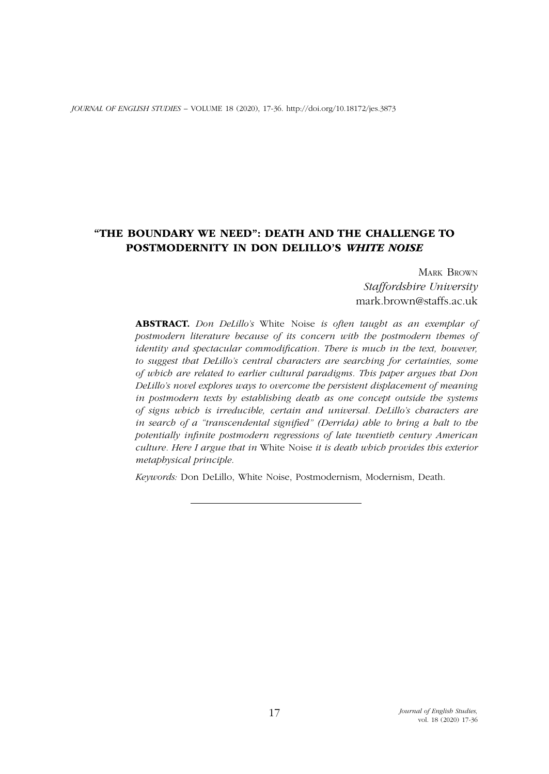# "THE BOUNDARY WE NEED": DEATH AND THE CHALLENGE TO POSTMODERNITY IN DON DELILLO'S *WHITE NOISE*

Mark Brown *Staffordshire University* mark.brown@staffs.ac.uk

ABSTRACT. *Don DeLillo's* White Noise *is often taught as an exemplar of postmodern literature because of its concern with the postmodern themes of identity and spectacular commodification. There is much in the text, however, to suggest that DeLillo's central characters are searching for certainties, some of which are related to earlier cultural paradigms. This paper argues that Don DeLillo's novel explores ways to overcome the persistent displacement of meaning in postmodern texts by establishing death as one concept outside the systems of signs which is irreducible, certain and universal. DeLillo's characters are in search of a "transcendental signified" (Derrida) able to bring a halt to the potentially infinite postmodern regressions of late twentieth century American culture. Here I argue that in* White Noise *it is death which provides this exterior metaphysical principle.*

*Keywords:* Don DeLillo, White Noise, Postmodernism, Modernism, Death.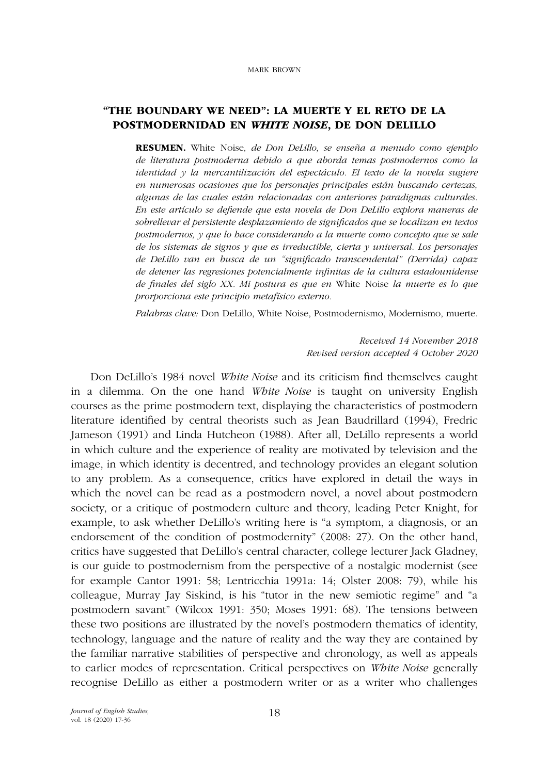## "THE BOUNDARY WE NEED": LA MUERTE Y EL RETO DE LA POSTMODERNIDAD EN *WHITE NOISE*, DE DON DELILLO

RESUMEN. White Noise*, de Don DeLillo, se enseña a menudo como ejemplo de literatura postmoderna debido a que aborda temas postmodernos como la identidad y la mercantilización del espectáculo. El texto de la novela sugiere en numerosas ocasiones que los personajes principales están buscando certezas, algunas de las cuales están relacionadas con anteriores paradigmas culturales. En este artículo se defiende que esta novela de Don DeLillo explora maneras de sobrellevar el persistente desplazamiento de significados que se localizan en textos postmodernos, y que lo hace considerando a la muerte como concepto que se sale de los sistemas de signos y que es irreductible, cierta y universal. Los personajes de DeLillo van en busca de un "significado transcendental" (Derrida) capaz de detener las regresiones potencialmente infinitas de la cultura estadounidense de finales del siglo XX. Mi postura es que en* White Noise *la muerte es lo que prorporciona este principio metafísico externo.* 

*Palabras clave:* Don DeLillo, White Noise, Postmodernismo, Modernismo, muerte.

*Received 14 November 2018 Revised version accepted 4 October 2020*

Don DeLillo's 1984 novel *White Noise* and its criticism find themselves caught in a dilemma. On the one hand *White Noise* is taught on university English courses as the prime postmodern text, displaying the characteristics of postmodern literature identified by central theorists such as Jean Baudrillard (1994), Fredric Jameson (1991) and Linda Hutcheon (1988). After all, DeLillo represents a world in which culture and the experience of reality are motivated by television and the image, in which identity is decentred, and technology provides an elegant solution to any problem. As a consequence, critics have explored in detail the ways in which the novel can be read as a postmodern novel, a novel about postmodern society, or a critique of postmodern culture and theory, leading Peter Knight, for example, to ask whether DeLillo's writing here is "a symptom, a diagnosis, or an endorsement of the condition of postmodernity" (2008: 27). On the other hand, critics have suggested that DeLillo's central character, college lecturer Jack Gladney, is our guide to postmodernism from the perspective of a nostalgic modernist (see for example Cantor 1991: 58; Lentricchia 1991a: 14; Olster 2008: 79), while his colleague, Murray Jay Siskind, is his "tutor in the new semiotic regime" and "a postmodern savant" (Wilcox 1991: 350; Moses 1991: 68). The tensions between these two positions are illustrated by the novel's postmodern thematics of identity, technology, language and the nature of reality and the way they are contained by the familiar narrative stabilities of perspective and chronology, as well as appeals to earlier modes of representation. Critical perspectives on *White Noise* generally recognise DeLillo as either a postmodern writer or as a writer who challenges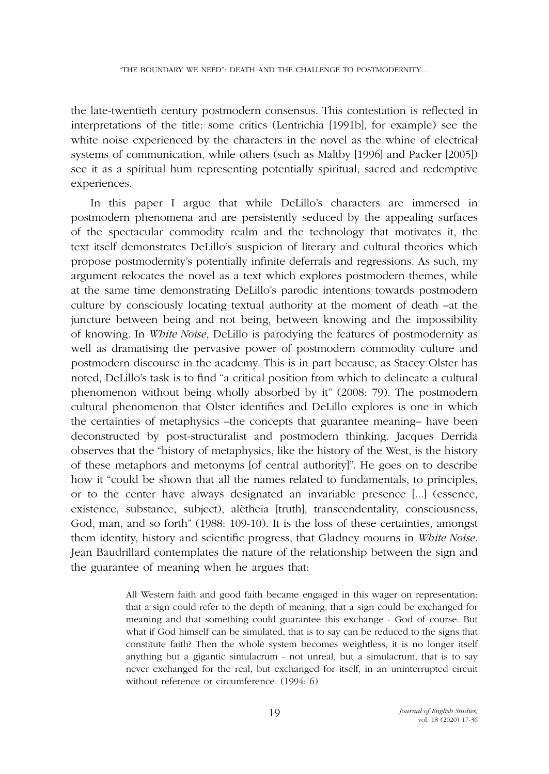the late-twentieth century postmodern consensus. This contestation is reflected in interpretations of the title: some critics (Lentrichia [1991b], for example) see the white noise experienced by the characters in the novel as the whine of electrical systems of communication, while others (such as Maltby [1996] and Packer [2005]) see it as a spiritual hum representing potentially spiritual, sacred and redemptive experiences.

In this paper I argue that while DeLillo's characters are immersed in postmodern phenomena and are persistently seduced by the appealing surfaces of the spectacular commodity realm and the technology that motivates it, the text itself demonstrates DeLillo's suspicion of literary and cultural theories which propose postmodernity's potentially infinite deferrals and regressions. As such, my argument relocates the novel as a text which explores postmodern themes, while at the same time demonstrating DeLillo's parodic intentions towards postmodern culture by consciously locating textual authority at the moment of death –at the juncture between being and not being, between knowing and the impossibility of knowing. In *White Noise*, DeLillo is parodying the features of postmodernity as well as dramatising the pervasive power of postmodern commodity culture and postmodern discourse in the academy. This is in part because, as Stacey Olster has noted, DeLillo's task is to find "a critical position from which to delineate a cultural phenomenon without being wholly absorbed by it" (2008: 79). The postmodern cultural phenomenon that Olster identifies and DeLillo explores is one in which the certainties of metaphysics –the concepts that guarantee meaning– have been deconstructed by post-structuralist and postmodern thinking. Jacques Derrida observes that the "history of metaphysics, like the history of the West, is the history of these metaphors and metonyms [of central authority]". He goes on to describe how it "could be shown that all the names related to fundamentals, to principles, or to the center have always designated an invariable presence [...] (essence, existence, substance, subject), alètheia [truth], transcendentality, consciousness, God, man, and so forth" (1988: 109-10). It is the loss of these certainties, amongst them identity, history and scientific progress, that Gladney mourns in *White Noise*. Jean Baudrillard contemplates the nature of the relationship between the sign and the guarantee of meaning when he argues that:

> All Western faith and good faith became engaged in this wager on representation: that a sign could refer to the depth of meaning, that a sign could be exchanged for meaning and that something could guarantee this exchange - God of course. But what if God himself can be simulated, that is to say can be reduced to the signs that constitute faith? Then the whole system becomes weightless, it is no longer itself anything but a gigantic simulacrum - not unreal, but a simulacrum, that is to say never exchanged for the real, but exchanged for itself, in an uninterrupted circuit without reference or circumference. (1994: 6)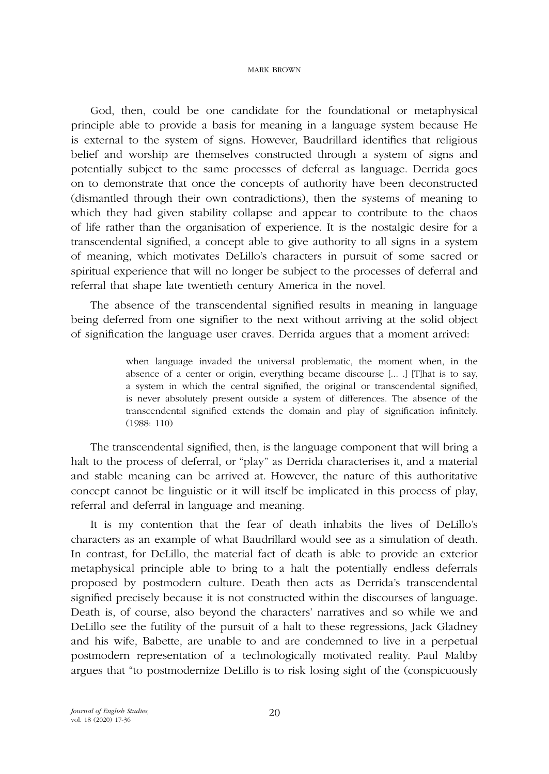God, then, could be one candidate for the foundational or metaphysical principle able to provide a basis for meaning in a language system because He is external to the system of signs. However, Baudrillard identifies that religious belief and worship are themselves constructed through a system of signs and potentially subject to the same processes of deferral as language. Derrida goes on to demonstrate that once the concepts of authority have been deconstructed (dismantled through their own contradictions), then the systems of meaning to which they had given stability collapse and appear to contribute to the chaos of life rather than the organisation of experience. It is the nostalgic desire for a transcendental signified, a concept able to give authority to all signs in a system of meaning, which motivates DeLillo's characters in pursuit of some sacred or spiritual experience that will no longer be subject to the processes of deferral and referral that shape late twentieth century America in the novel.

The absence of the transcendental signified results in meaning in language being deferred from one signifier to the next without arriving at the solid object of signification the language user craves. Derrida argues that a moment arrived:

> when language invaded the universal problematic, the moment when, in the absence of a center or origin, everything became discourse [... .] [T]hat is to say, a system in which the central signified, the original or transcendental signified, is never absolutely present outside a system of differences. The absence of the transcendental signified extends the domain and play of signification infinitely. (1988: 110)

The transcendental signified, then, is the language component that will bring a halt to the process of deferral, or "play" as Derrida characterises it, and a material and stable meaning can be arrived at. However, the nature of this authoritative concept cannot be linguistic or it will itself be implicated in this process of play, referral and deferral in language and meaning.

It is my contention that the fear of death inhabits the lives of DeLillo's characters as an example of what Baudrillard would see as a simulation of death. In contrast, for DeLillo, the material fact of death is able to provide an exterior metaphysical principle able to bring to a halt the potentially endless deferrals proposed by postmodern culture. Death then acts as Derrida's transcendental signified precisely because it is not constructed within the discourses of language. Death is, of course, also beyond the characters' narratives and so while we and DeLillo see the futility of the pursuit of a halt to these regressions, Jack Gladney and his wife, Babette, are unable to and are condemned to live in a perpetual postmodern representation of a technologically motivated reality. Paul Maltby argues that "to postmodernize DeLillo is to risk losing sight of the (conspicuously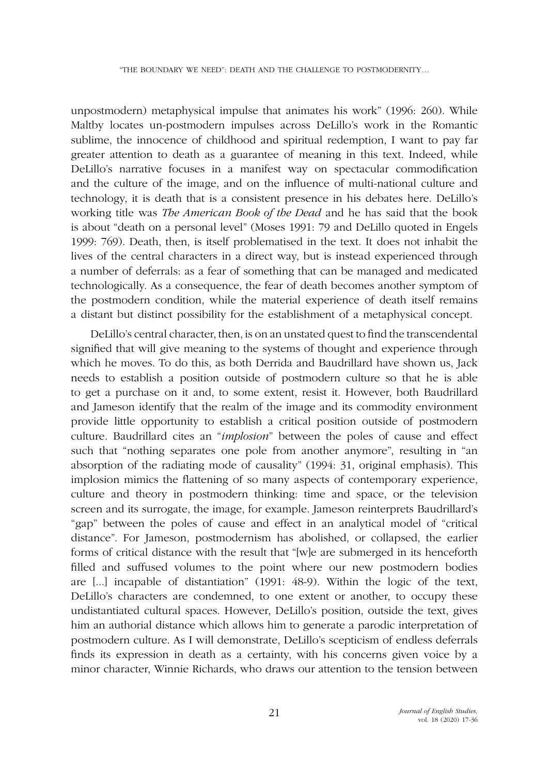unpostmodern) metaphysical impulse that animates his work" (1996: 260). While Maltby locates un-postmodern impulses across DeLillo's work in the Romantic sublime, the innocence of childhood and spiritual redemption, I want to pay far greater attention to death as a guarantee of meaning in this text. Indeed, while DeLillo's narrative focuses in a manifest way on spectacular commodification and the culture of the image, and on the influence of multi-national culture and technology, it is death that is a consistent presence in his debates here. DeLillo's working title was *The American Book of the Dead* and he has said that the book is about "death on a personal level" (Moses 1991: 79 and DeLillo quoted in Engels 1999: 769). Death, then, is itself problematised in the text. It does not inhabit the lives of the central characters in a direct way, but is instead experienced through a number of deferrals: as a fear of something that can be managed and medicated technologically. As a consequence, the fear of death becomes another symptom of the postmodern condition, while the material experience of death itself remains a distant but distinct possibility for the establishment of a metaphysical concept.

DeLillo's central character, then, is on an unstated quest to find the transcendental signified that will give meaning to the systems of thought and experience through which he moves. To do this, as both Derrida and Baudrillard have shown us, Jack needs to establish a position outside of postmodern culture so that he is able to get a purchase on it and, to some extent, resist it. However, both Baudrillard and Jameson identify that the realm of the image and its commodity environment provide little opportunity to establish a critical position outside of postmodern culture. Baudrillard cites an "*implosion*" between the poles of cause and effect such that "nothing separates one pole from another anymore", resulting in "an absorption of the radiating mode of causality" (1994: 31, original emphasis). This implosion mimics the flattening of so many aspects of contemporary experience, culture and theory in postmodern thinking: time and space, or the television screen and its surrogate, the image, for example. Jameson reinterprets Baudrillard's "gap" between the poles of cause and effect in an analytical model of "critical distance". For Jameson, postmodernism has abolished, or collapsed, the earlier forms of critical distance with the result that "[w]e are submerged in its henceforth filled and suffused volumes to the point where our new postmodern bodies are [...] incapable of distantiation" (1991: 48-9). Within the logic of the text, DeLillo's characters are condemned, to one extent or another, to occupy these undistantiated cultural spaces. However, DeLillo's position, outside the text, gives him an authorial distance which allows him to generate a parodic interpretation of postmodern culture. As I will demonstrate, DeLillo's scepticism of endless deferrals finds its expression in death as a certainty, with his concerns given voice by a minor character, Winnie Richards, who draws our attention to the tension between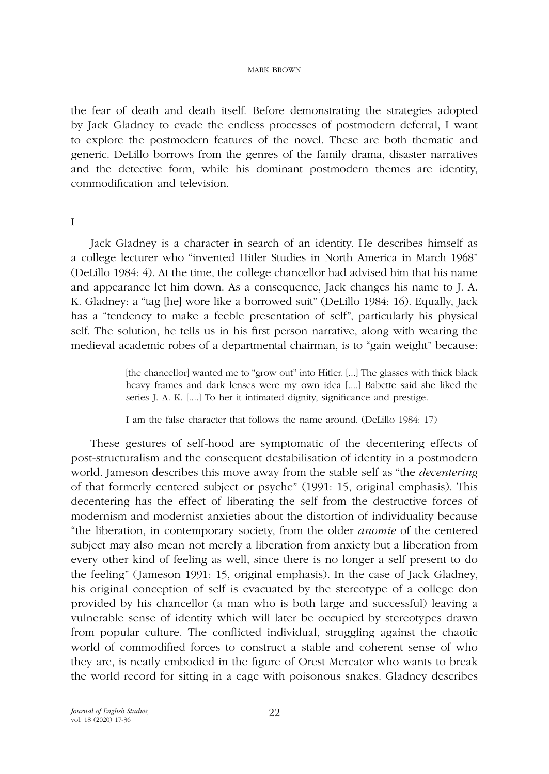the fear of death and death itself. Before demonstrating the strategies adopted by Jack Gladney to evade the endless processes of postmodern deferral, I want to explore the postmodern features of the novel. These are both thematic and generic. DeLillo borrows from the genres of the family drama, disaster narratives and the detective form, while his dominant postmodern themes are identity, commodification and television.

### I

Jack Gladney is a character in search of an identity. He describes himself as a college lecturer who "invented Hitler Studies in North America in March 1968" (DeLillo 1984: 4). At the time, the college chancellor had advised him that his name and appearance let him down. As a consequence, Jack changes his name to J. A. K. Gladney: a "tag [he] wore like a borrowed suit" (DeLillo 1984: 16). Equally, Jack has a "tendency to make a feeble presentation of self", particularly his physical self. The solution, he tells us in his first person narrative, along with wearing the medieval academic robes of a departmental chairman, is to "gain weight" because:

> [the chancellor] wanted me to "grow out" into Hitler. [...] The glasses with thick black heavy frames and dark lenses were my own idea [....] Babette said she liked the series J. A. K. [....] To her it intimated dignity, significance and prestige.

I am the false character that follows the name around. (DeLillo 1984: 17)

These gestures of self-hood are symptomatic of the decentering effects of post-structuralism and the consequent destabilisation of identity in a postmodern world. Jameson describes this move away from the stable self as "the *decentering* of that formerly centered subject or psyche" (1991: 15, original emphasis). This decentering has the effect of liberating the self from the destructive forces of modernism and modernist anxieties about the distortion of individuality because "the liberation, in contemporary society, from the older *anomie* of the centered subject may also mean not merely a liberation from anxiety but a liberation from every other kind of feeling as well, since there is no longer a self present to do the feeling" (Jameson 1991: 15, original emphasis). In the case of Jack Gladney, his original conception of self is evacuated by the stereotype of a college don provided by his chancellor (a man who is both large and successful) leaving a vulnerable sense of identity which will later be occupied by stereotypes drawn from popular culture. The conflicted individual, struggling against the chaotic world of commodified forces to construct a stable and coherent sense of who they are, is neatly embodied in the figure of Orest Mercator who wants to break the world record for sitting in a cage with poisonous snakes. Gladney describes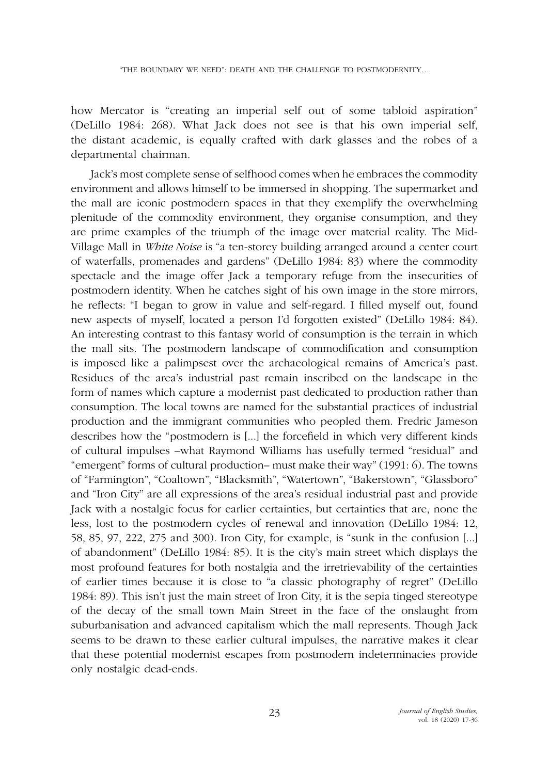how Mercator is "creating an imperial self out of some tabloid aspiration" (DeLillo 1984: 268). What Jack does not see is that his own imperial self, the distant academic, is equally crafted with dark glasses and the robes of a departmental chairman.

Jack's most complete sense of selfhood comes when he embraces the commodity environment and allows himself to be immersed in shopping. The supermarket and the mall are iconic postmodern spaces in that they exemplify the overwhelming plenitude of the commodity environment, they organise consumption, and they are prime examples of the triumph of the image over material reality. The Mid-Village Mall in *White Noise* is "a ten-storey building arranged around a center court of waterfalls, promenades and gardens" (DeLillo 1984: 83) where the commodity spectacle and the image offer Jack a temporary refuge from the insecurities of postmodern identity. When he catches sight of his own image in the store mirrors, he reflects: "I began to grow in value and self-regard. I filled myself out, found new aspects of myself, located a person I'd forgotten existed" (DeLillo 1984: 84). An interesting contrast to this fantasy world of consumption is the terrain in which the mall sits. The postmodern landscape of commodification and consumption is imposed like a palimpsest over the archaeological remains of America's past. Residues of the area's industrial past remain inscribed on the landscape in the form of names which capture a modernist past dedicated to production rather than consumption. The local towns are named for the substantial practices of industrial production and the immigrant communities who peopled them. Fredric Jameson describes how the "postmodern is [...] the forcefield in which very different kinds of cultural impulses –what Raymond Williams has usefully termed "residual" and "emergent" forms of cultural production– must make their way" (1991: 6). The towns of "Farmington", "Coaltown", "Blacksmith", "Watertown", "Bakerstown", "Glassboro" and "Iron City" are all expressions of the area's residual industrial past and provide Jack with a nostalgic focus for earlier certainties, but certainties that are, none the less, lost to the postmodern cycles of renewal and innovation (DeLillo 1984: 12, 58, 85, 97, 222, 275 and 300). Iron City, for example, is "sunk in the confusion [...] of abandonment" (DeLillo 1984: 85). It is the city's main street which displays the most profound features for both nostalgia and the irretrievability of the certainties of earlier times because it is close to "a classic photography of regret" (DeLillo 1984: 89). This isn't just the main street of Iron City, it is the sepia tinged stereotype of the decay of the small town Main Street in the face of the onslaught from suburbanisation and advanced capitalism which the mall represents. Though Jack seems to be drawn to these earlier cultural impulses, the narrative makes it clear that these potential modernist escapes from postmodern indeterminacies provide only nostalgic dead-ends.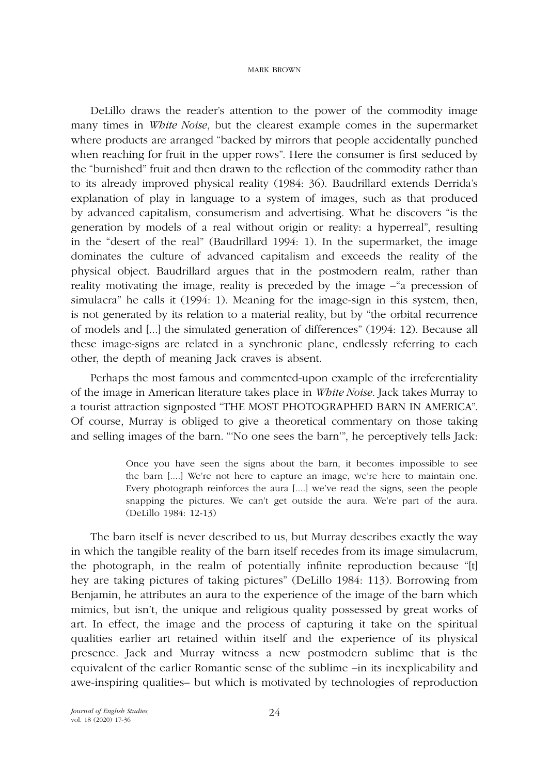DeLillo draws the reader's attention to the power of the commodity image many times in *White Noise*, but the clearest example comes in the supermarket where products are arranged "backed by mirrors that people accidentally punched when reaching for fruit in the upper rows". Here the consumer is first seduced by the "burnished" fruit and then drawn to the reflection of the commodity rather than to its already improved physical reality (1984: 36). Baudrillard extends Derrida's explanation of play in language to a system of images, such as that produced by advanced capitalism, consumerism and advertising. What he discovers "is the generation by models of a real without origin or reality: a hyperreal", resulting in the "desert of the real" (Baudrillard 1994: 1). In the supermarket, the image dominates the culture of advanced capitalism and exceeds the reality of the physical object. Baudrillard argues that in the postmodern realm, rather than reality motivating the image, reality is preceded by the image –"a precession of simulacra" he calls it (1994: 1). Meaning for the image-sign in this system, then, is not generated by its relation to a material reality, but by "the orbital recurrence of models and [...] the simulated generation of differences" (1994: 12). Because all these image-signs are related in a synchronic plane, endlessly referring to each other, the depth of meaning Jack craves is absent.

Perhaps the most famous and commented-upon example of the irreferentiality of the image in American literature takes place in *White Noise*. Jack takes Murray to a tourist attraction signposted "THE MOST PHOTOGRAPHED BARN IN AMERICA". Of course, Murray is obliged to give a theoretical commentary on those taking and selling images of the barn. "'No one sees the barn'", he perceptively tells Jack:

> Once you have seen the signs about the barn, it becomes impossible to see the barn [....] We're not here to capture an image, we're here to maintain one. Every photograph reinforces the aura [....] we've read the signs, seen the people snapping the pictures. We can't get outside the aura. We're part of the aura. (DeLillo 1984: 12-13)

The barn itself is never described to us, but Murray describes exactly the way in which the tangible reality of the barn itself recedes from its image simulacrum, the photograph, in the realm of potentially infinite reproduction because "[t] hey are taking pictures of taking pictures" (DeLillo 1984: 113). Borrowing from Benjamin, he attributes an aura to the experience of the image of the barn which mimics, but isn't, the unique and religious quality possessed by great works of art. In effect, the image and the process of capturing it take on the spiritual qualities earlier art retained within itself and the experience of its physical presence. Jack and Murray witness a new postmodern sublime that is the equivalent of the earlier Romantic sense of the sublime –in its inexplicability and awe-inspiring qualities– but which is motivated by technologies of reproduction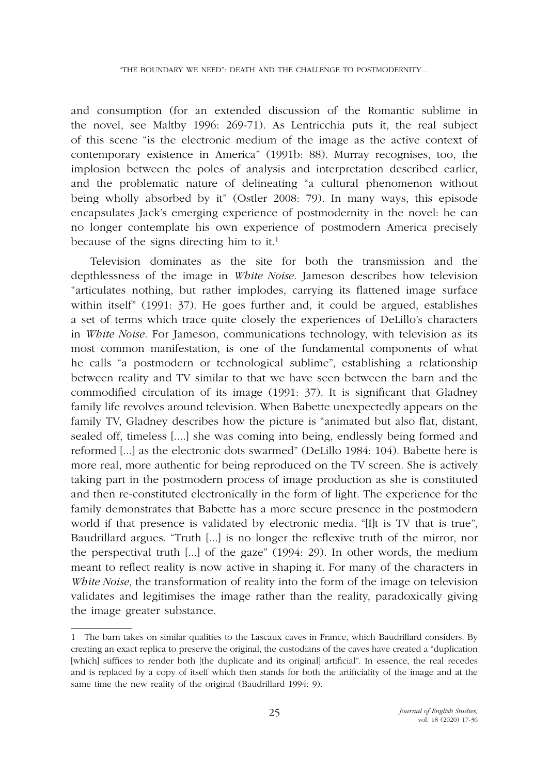and consumption (for an extended discussion of the Romantic sublime in the novel, see Maltby 1996: 269-71). As Lentricchia puts it, the real subject of this scene "is the electronic medium of the image as the active context of contemporary existence in America" (1991b: 88). Murray recognises, too, the implosion between the poles of analysis and interpretation described earlier, and the problematic nature of delineating "a cultural phenomenon without being wholly absorbed by it" (Ostler 2008: 79). In many ways, this episode encapsulates Jack's emerging experience of postmodernity in the novel: he can no longer contemplate his own experience of postmodern America precisely because of the signs directing him to it.<sup>1</sup>

Television dominates as the site for both the transmission and the depthlessness of the image in *White Noise*. Jameson describes how television "articulates nothing, but rather implodes, carrying its flattened image surface within itself" (1991: 37). He goes further and, it could be argued, establishes a set of terms which trace quite closely the experiences of DeLillo's characters in *White Noise*. For Jameson, communications technology, with television as its most common manifestation, is one of the fundamental components of what he calls "a postmodern or technological sublime", establishing a relationship between reality and TV similar to that we have seen between the barn and the commodified circulation of its image (1991: 37). It is significant that Gladney family life revolves around television. When Babette unexpectedly appears on the family TV, Gladney describes how the picture is "animated but also flat, distant, sealed off, timeless [....] she was coming into being, endlessly being formed and reformed [...] as the electronic dots swarmed" (DeLillo 1984: 104). Babette here is more real, more authentic for being reproduced on the TV screen. She is actively taking part in the postmodern process of image production as she is constituted and then re-constituted electronically in the form of light. The experience for the family demonstrates that Babette has a more secure presence in the postmodern world if that presence is validated by electronic media. "[I]t is TV that is true", Baudrillard argues. "Truth [...] is no longer the reflexive truth of the mirror, nor the perspectival truth [...] of the gaze" (1994: 29). In other words, the medium meant to reflect reality is now active in shaping it. For many of the characters in *White Noise*, the transformation of reality into the form of the image on television validates and legitimises the image rather than the reality, paradoxically giving the image greater substance.

<sup>1</sup> The barn takes on similar qualities to the Lascaux caves in France, which Baudrillard considers. By creating an exact replica to preserve the original, the custodians of the caves have created a "duplication [which] suffices to render both [the duplicate and its original] artificial". In essence, the real recedes and is replaced by a copy of itself which then stands for both the artificiality of the image and at the same time the new reality of the original (Baudrillard 1994: 9).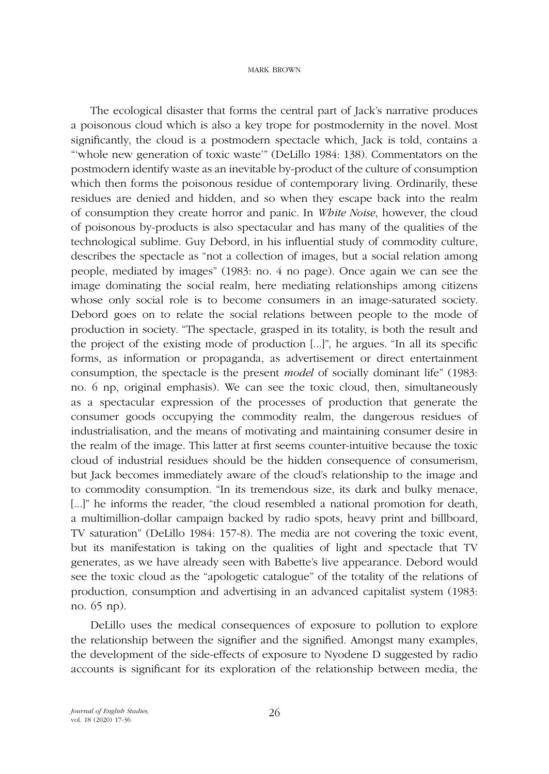The ecological disaster that forms the central part of Jack's narrative produces a poisonous cloud which is also a key trope for postmodernity in the novel. Most significantly, the cloud is a postmodern spectacle which, Jack is told, contains a "'whole new generation of toxic waste'" (DeLillo 1984: 138). Commentators on the postmodern identify waste as an inevitable by-product of the culture of consumption which then forms the poisonous residue of contemporary living. Ordinarily, these residues are denied and hidden, and so when they escape back into the realm of consumption they create horror and panic. In *White Noise*, however, the cloud of poisonous by-products is also spectacular and has many of the qualities of the technological sublime. Guy Debord, in his influential study of commodity culture, describes the spectacle as "not a collection of images, but a social relation among people, mediated by images" (1983: no. 4 no page). Once again we can see the image dominating the social realm, here mediating relationships among citizens whose only social role is to become consumers in an image-saturated society. Debord goes on to relate the social relations between people to the mode of production in society. "The spectacle, grasped in its totality, is both the result and the project of the existing mode of production [...]", he argues. "In all its specific forms, as information or propaganda, as advertisement or direct entertainment consumption, the spectacle is the present *model* of socially dominant life" (1983: no. 6 np, original emphasis). We can see the toxic cloud, then, simultaneously as a spectacular expression of the processes of production that generate the consumer goods occupying the commodity realm, the dangerous residues of industrialisation, and the means of motivating and maintaining consumer desire in the realm of the image. This latter at first seems counter-intuitive because the toxic cloud of industrial residues should be the hidden consequence of consumerism, but Jack becomes immediately aware of the cloud's relationship to the image and to commodity consumption. "In its tremendous size, its dark and bulky menace, [...]" he informs the reader, "the cloud resembled a national promotion for death, a multimillion-dollar campaign backed by radio spots, heavy print and billboard, TV saturation" (DeLillo 1984: 157-8). The media are not covering the toxic event, but its manifestation is taking on the qualities of light and spectacle that TV generates, as we have already seen with Babette's live appearance. Debord would see the toxic cloud as the "apologetic catalogue" of the totality of the relations of production, consumption and advertising in an advanced capitalist system (1983: no. 65 np).

DeLillo uses the medical consequences of exposure to pollution to explore the relationship between the signifier and the signified. Amongst many examples, the development of the side-effects of exposure to Nyodene D suggested by radio accounts is significant for its exploration of the relationship between media, the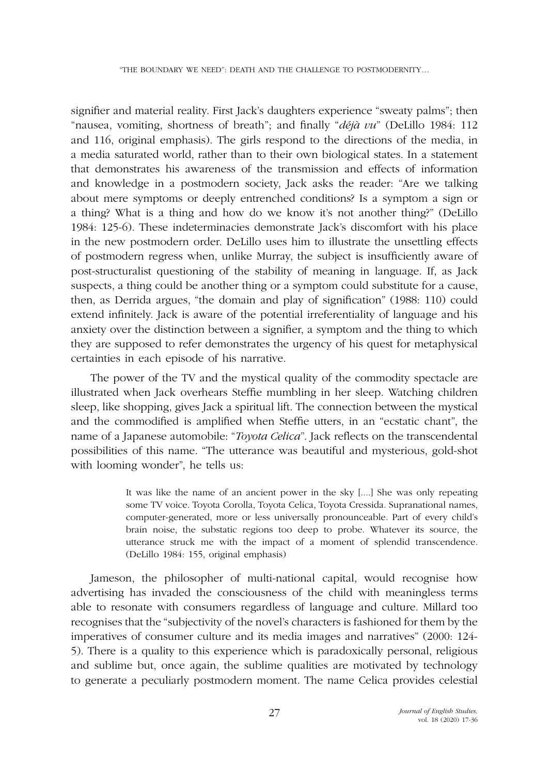signifier and material reality. First Jack's daughters experience "sweaty palms"; then "nausea, vomiting, shortness of breath"; and finally "*déjà vu*" (DeLillo 1984: 112 and 116, original emphasis). The girls respond to the directions of the media, in a media saturated world, rather than to their own biological states. In a statement that demonstrates his awareness of the transmission and effects of information and knowledge in a postmodern society, Jack asks the reader: "Are we talking about mere symptoms or deeply entrenched conditions? Is a symptom a sign or a thing? What is a thing and how do we know it's not another thing?" (DeLillo 1984: 125-6). These indeterminacies demonstrate Jack's discomfort with his place in the new postmodern order. DeLillo uses him to illustrate the unsettling effects of postmodern regress when, unlike Murray, the subject is insufficiently aware of post-structuralist questioning of the stability of meaning in language. If, as Jack suspects, a thing could be another thing or a symptom could substitute for a cause, then, as Derrida argues, "the domain and play of signification" (1988: 110) could extend infinitely. Jack is aware of the potential irreferentiality of language and his anxiety over the distinction between a signifier, a symptom and the thing to which they are supposed to refer demonstrates the urgency of his quest for metaphysical certainties in each episode of his narrative.

The power of the TV and the mystical quality of the commodity spectacle are illustrated when Jack overhears Steffie mumbling in her sleep. Watching children sleep, like shopping, gives Jack a spiritual lift. The connection between the mystical and the commodified is amplified when Steffie utters, in an "ecstatic chant", the name of a Japanese automobile: "*Toyota Celica*". Jack reflects on the transcendental possibilities of this name. "The utterance was beautiful and mysterious, gold-shot with looming wonder", he tells us:

> It was like the name of an ancient power in the sky [....] She was only repeating some TV voice. Toyota Corolla, Toyota Celica, Toyota Cressida. Supranational names, computer-generated, more or less universally pronounceable. Part of every child's brain noise, the substatic regions too deep to probe. Whatever its source, the utterance struck me with the impact of a moment of splendid transcendence. (DeLillo 1984: 155, original emphasis)

Jameson, the philosopher of multi-national capital, would recognise how advertising has invaded the consciousness of the child with meaningless terms able to resonate with consumers regardless of language and culture. Millard too recognises that the "subjectivity of the novel's characters is fashioned for them by the imperatives of consumer culture and its media images and narratives" (2000: 124- 5). There is a quality to this experience which is paradoxically personal, religious and sublime but, once again, the sublime qualities are motivated by technology to generate a peculiarly postmodern moment. The name Celica provides celestial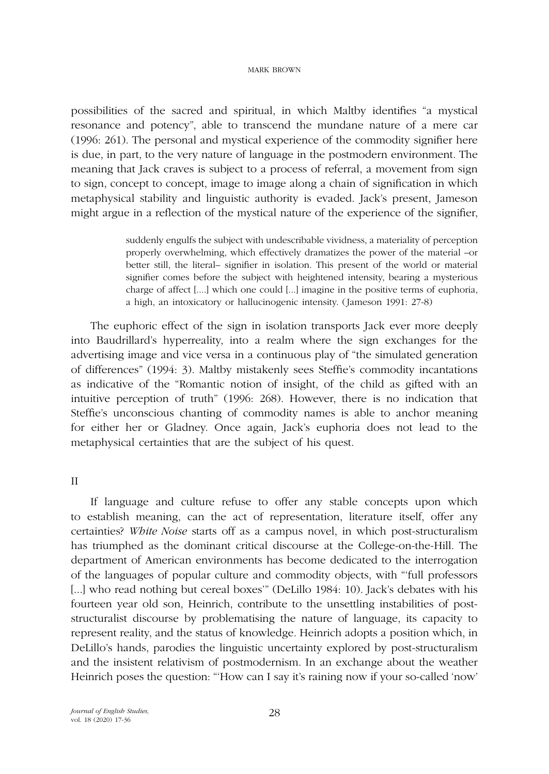possibilities of the sacred and spiritual, in which Maltby identifies "a mystical resonance and potency", able to transcend the mundane nature of a mere car (1996: 261). The personal and mystical experience of the commodity signifier here is due, in part, to the very nature of language in the postmodern environment. The meaning that Jack craves is subject to a process of referral, a movement from sign to sign, concept to concept, image to image along a chain of signification in which metaphysical stability and linguistic authority is evaded. Jack's present, Jameson might argue in a reflection of the mystical nature of the experience of the signifier,

> suddenly engulfs the subject with undescribable vividness, a materiality of perception properly overwhelming, which effectively dramatizes the power of the material –or better still, the literal– signifier in isolation. This present of the world or material signifier comes before the subject with heightened intensity, bearing a mysterious charge of affect [....] which one could [...] imagine in the positive terms of euphoria, a high, an intoxicatory or hallucinogenic intensity. (Jameson 1991: 27-8)

The euphoric effect of the sign in isolation transports Jack ever more deeply into Baudrillard's hyperreality, into a realm where the sign exchanges for the advertising image and vice versa in a continuous play of "the simulated generation of differences" (1994: 3). Maltby mistakenly sees Steffie's commodity incantations as indicative of the "Romantic notion of insight, of the child as gifted with an intuitive perception of truth" (1996: 268). However, there is no indication that Steffie's unconscious chanting of commodity names is able to anchor meaning for either her or Gladney. Once again, Jack's euphoria does not lead to the metaphysical certainties that are the subject of his quest.

## II

If language and culture refuse to offer any stable concepts upon which to establish meaning, can the act of representation, literature itself, offer any certainties? *White Noise* starts off as a campus novel, in which post-structuralism has triumphed as the dominant critical discourse at the College-on-the-Hill. The department of American environments has become dedicated to the interrogation of the languages of popular culture and commodity objects, with "'full professors [...] who read nothing but cereal boxes" (DeLillo 1984: 10). Jack's debates with his fourteen year old son, Heinrich, contribute to the unsettling instabilities of poststructuralist discourse by problematising the nature of language, its capacity to represent reality, and the status of knowledge. Heinrich adopts a position which, in DeLillo's hands, parodies the linguistic uncertainty explored by post-structuralism and the insistent relativism of postmodernism. In an exchange about the weather Heinrich poses the question: "'How can I say it's raining now if your so-called 'now'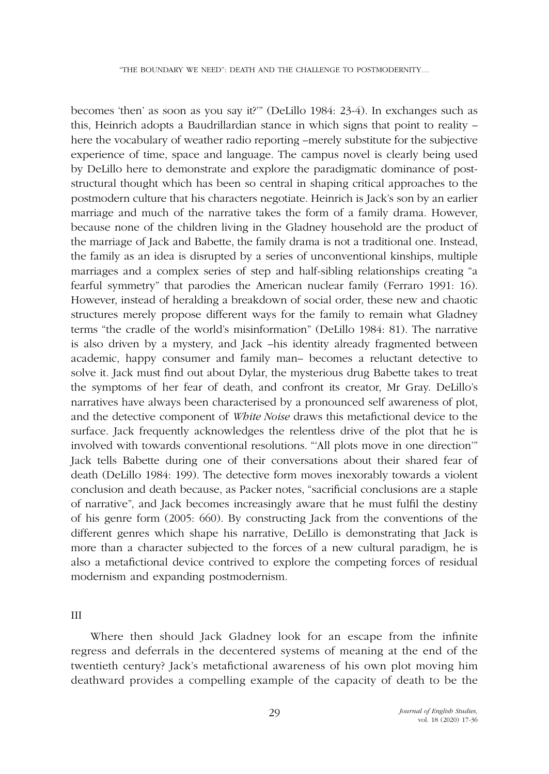becomes 'then' as soon as you say it?'" (DeLillo 1984: 23-4). In exchanges such as this, Heinrich adopts a Baudrillardian stance in which signs that point to reality – here the vocabulary of weather radio reporting –merely substitute for the subjective experience of time, space and language. The campus novel is clearly being used by DeLillo here to demonstrate and explore the paradigmatic dominance of poststructural thought which has been so central in shaping critical approaches to the postmodern culture that his characters negotiate. Heinrich is Jack's son by an earlier marriage and much of the narrative takes the form of a family drama. However, because none of the children living in the Gladney household are the product of the marriage of Jack and Babette, the family drama is not a traditional one. Instead, the family as an idea is disrupted by a series of unconventional kinships, multiple marriages and a complex series of step and half-sibling relationships creating "a fearful symmetry" that parodies the American nuclear family (Ferraro 1991: 16). However, instead of heralding a breakdown of social order, these new and chaotic structures merely propose different ways for the family to remain what Gladney terms "the cradle of the world's misinformation" (DeLillo 1984: 81). The narrative is also driven by a mystery, and Jack –his identity already fragmented between academic, happy consumer and family man– becomes a reluctant detective to solve it. Jack must find out about Dylar, the mysterious drug Babette takes to treat the symptoms of her fear of death, and confront its creator, Mr Gray. DeLillo's narratives have always been characterised by a pronounced self awareness of plot, and the detective component of *White Noise* draws this metafictional device to the surface. Jack frequently acknowledges the relentless drive of the plot that he is involved with towards conventional resolutions. "'All plots move in one direction'" Jack tells Babette during one of their conversations about their shared fear of death (DeLillo 1984: 199). The detective form moves inexorably towards a violent conclusion and death because, as Packer notes, "sacrificial conclusions are a staple of narrative", and Jack becomes increasingly aware that he must fulfil the destiny of his genre form (2005: 660). By constructing Jack from the conventions of the different genres which shape his narrative, DeLillo is demonstrating that Jack is more than a character subjected to the forces of a new cultural paradigm, he is also a metafictional device contrived to explore the competing forces of residual modernism and expanding postmodernism.

III

Where then should Jack Gladney look for an escape from the infinite regress and deferrals in the decentered systems of meaning at the end of the twentieth century? Jack's metafictional awareness of his own plot moving him deathward provides a compelling example of the capacity of death to be the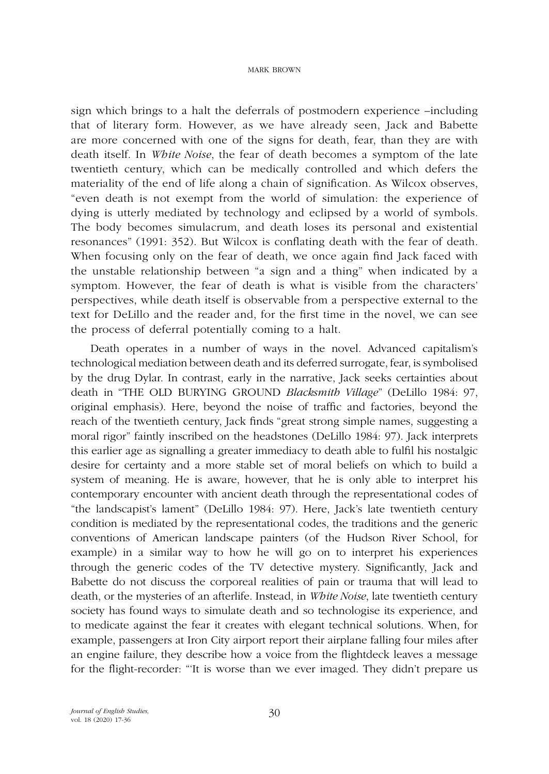sign which brings to a halt the deferrals of postmodern experience –including that of literary form. However, as we have already seen, Jack and Babette are more concerned with one of the signs for death, fear, than they are with death itself. In *White Noise*, the fear of death becomes a symptom of the late twentieth century, which can be medically controlled and which defers the materiality of the end of life along a chain of signification. As Wilcox observes, "even death is not exempt from the world of simulation: the experience of dying is utterly mediated by technology and eclipsed by a world of symbols. The body becomes simulacrum, and death loses its personal and existential resonances" (1991: 352). But Wilcox is conflating death with the fear of death. When focusing only on the fear of death, we once again find Jack faced with the unstable relationship between "a sign and a thing" when indicated by a symptom. However, the fear of death is what is visible from the characters' perspectives, while death itself is observable from a perspective external to the text for DeLillo and the reader and, for the first time in the novel, we can see the process of deferral potentially coming to a halt.

Death operates in a number of ways in the novel. Advanced capitalism's technological mediation between death and its deferred surrogate, fear, is symbolised by the drug Dylar. In contrast, early in the narrative, Jack seeks certainties about death in "THE OLD BURYING GROUND *Blacksmith Village*" (DeLillo 1984: 97, original emphasis). Here, beyond the noise of traffic and factories, beyond the reach of the twentieth century, Jack finds "great strong simple names, suggesting a moral rigor" faintly inscribed on the headstones (DeLillo 1984: 97). Jack interprets this earlier age as signalling a greater immediacy to death able to fulfil his nostalgic desire for certainty and a more stable set of moral beliefs on which to build a system of meaning. He is aware, however, that he is only able to interpret his contemporary encounter with ancient death through the representational codes of "the landscapist's lament" (DeLillo 1984: 97). Here, Jack's late twentieth century condition is mediated by the representational codes, the traditions and the generic conventions of American landscape painters (of the Hudson River School, for example) in a similar way to how he will go on to interpret his experiences through the generic codes of the TV detective mystery. Significantly, Jack and Babette do not discuss the corporeal realities of pain or trauma that will lead to death, or the mysteries of an afterlife. Instead, in *White Noise*, late twentieth century society has found ways to simulate death and so technologise its experience, and to medicate against the fear it creates with elegant technical solutions. When, for example, passengers at Iron City airport report their airplane falling four miles after an engine failure, they describe how a voice from the flightdeck leaves a message for the flight-recorder: "'It is worse than we ever imaged. They didn't prepare us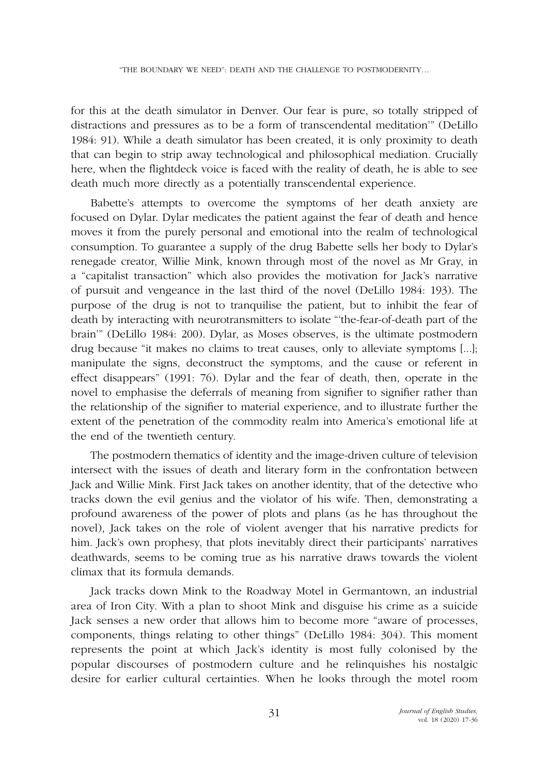for this at the death simulator in Denver. Our fear is pure, so totally stripped of distractions and pressures as to be a form of transcendental meditation'" (DeLillo 1984: 91). While a death simulator has been created, it is only proximity to death that can begin to strip away technological and philosophical mediation. Crucially here, when the flightdeck voice is faced with the reality of death, he is able to see death much more directly as a potentially transcendental experience.

Babette's attempts to overcome the symptoms of her death anxiety are focused on Dylar. Dylar medicates the patient against the fear of death and hence moves it from the purely personal and emotional into the realm of technological consumption. To guarantee a supply of the drug Babette sells her body to Dylar's renegade creator, Willie Mink, known through most of the novel as Mr Gray, in a "capitalist transaction" which also provides the motivation for Jack's narrative of pursuit and vengeance in the last third of the novel (DeLillo 1984: 193). The purpose of the drug is not to tranquilise the patient, but to inhibit the fear of death by interacting with neurotransmitters to isolate "'the-fear-of-death part of the brain'" (DeLillo 1984: 200). Dylar, as Moses observes, is the ultimate postmodern drug because "it makes no claims to treat causes, only to alleviate symptoms [...]; manipulate the signs, deconstruct the symptoms, and the cause or referent in effect disappears" (1991: 76). Dylar and the fear of death, then, operate in the novel to emphasise the deferrals of meaning from signifier to signifier rather than the relationship of the signifier to material experience, and to illustrate further the extent of the penetration of the commodity realm into America's emotional life at the end of the twentieth century.

The postmodern thematics of identity and the image-driven culture of television intersect with the issues of death and literary form in the confrontation between Jack and Willie Mink. First Jack takes on another identity, that of the detective who tracks down the evil genius and the violator of his wife. Then, demonstrating a profound awareness of the power of plots and plans (as he has throughout the novel), Jack takes on the role of violent avenger that his narrative predicts for him. Jack's own prophesy, that plots inevitably direct their participants' narratives deathwards, seems to be coming true as his narrative draws towards the violent climax that its formula demands.

Jack tracks down Mink to the Roadway Motel in Germantown, an industrial area of Iron City. With a plan to shoot Mink and disguise his crime as a suicide Jack senses a new order that allows him to become more "aware of processes, components, things relating to other things" (DeLillo 1984: 304). This moment represents the point at which Jack's identity is most fully colonised by the popular discourses of postmodern culture and he relinquishes his nostalgic desire for earlier cultural certainties. When he looks through the motel room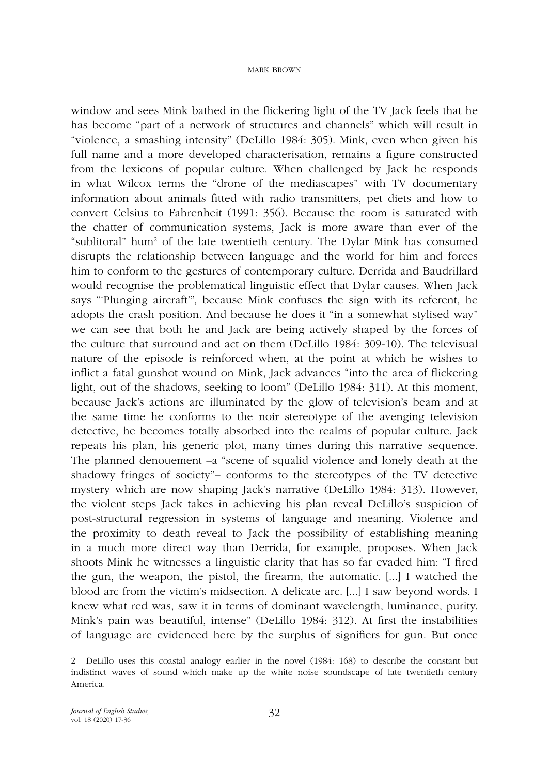window and sees Mink bathed in the flickering light of the TV Jack feels that he has become "part of a network of structures and channels" which will result in "violence, a smashing intensity" (DeLillo 1984: 305). Mink, even when given his full name and a more developed characterisation, remains a figure constructed from the lexicons of popular culture. When challenged by Jack he responds in what Wilcox terms the "drone of the mediascapes" with TV documentary information about animals fitted with radio transmitters, pet diets and how to convert Celsius to Fahrenheit (1991: 356). Because the room is saturated with the chatter of communication systems, Jack is more aware than ever of the "sublitoral" hum2 of the late twentieth century. The Dylar Mink has consumed disrupts the relationship between language and the world for him and forces him to conform to the gestures of contemporary culture. Derrida and Baudrillard would recognise the problematical linguistic effect that Dylar causes. When Jack says "'Plunging aircraft'", because Mink confuses the sign with its referent, he adopts the crash position. And because he does it "in a somewhat stylised way" we can see that both he and Jack are being actively shaped by the forces of the culture that surround and act on them (DeLillo 1984: 309-10). The televisual nature of the episode is reinforced when, at the point at which he wishes to inflict a fatal gunshot wound on Mink, Jack advances "into the area of flickering light, out of the shadows, seeking to loom" (DeLillo 1984: 311). At this moment, because Jack's actions are illuminated by the glow of television's beam and at the same time he conforms to the noir stereotype of the avenging television detective, he becomes totally absorbed into the realms of popular culture. Jack repeats his plan, his generic plot, many times during this narrative sequence. The planned denouement –a "scene of squalid violence and lonely death at the shadowy fringes of society"– conforms to the stereotypes of the TV detective mystery which are now shaping Jack's narrative (DeLillo 1984: 313). However, the violent steps Jack takes in achieving his plan reveal DeLillo's suspicion of post-structural regression in systems of language and meaning. Violence and the proximity to death reveal to Jack the possibility of establishing meaning in a much more direct way than Derrida, for example, proposes. When Jack shoots Mink he witnesses a linguistic clarity that has so far evaded him: "I fired the gun, the weapon, the pistol, the firearm, the automatic. [...] I watched the blood arc from the victim's midsection. A delicate arc. [...] I saw beyond words. I knew what red was, saw it in terms of dominant wavelength, luminance, purity. Mink's pain was beautiful, intense" (DeLillo 1984: 312). At first the instabilities of language are evidenced here by the surplus of signifiers for gun. But once

<sup>2</sup> DeLillo uses this coastal analogy earlier in the novel (1984: 168) to describe the constant but indistinct waves of sound which make up the white noise soundscape of late twentieth century America.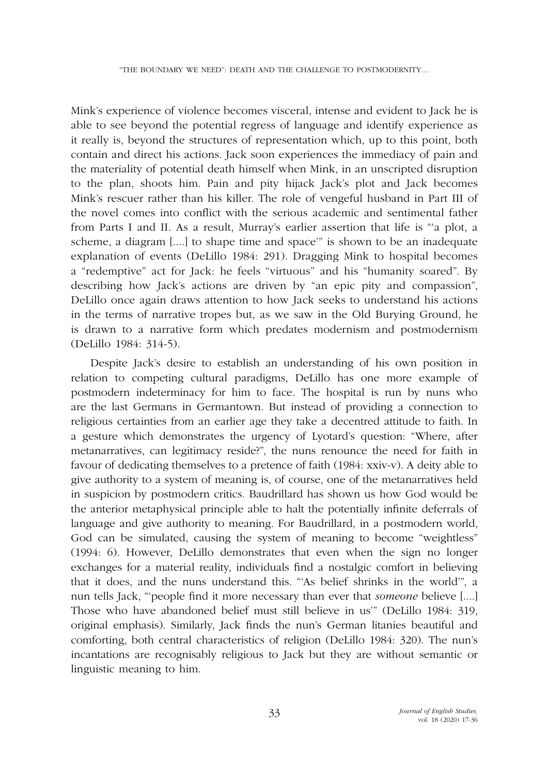Mink's experience of violence becomes visceral, intense and evident to Jack he is able to see beyond the potential regress of language and identify experience as it really is, beyond the structures of representation which, up to this point, both contain and direct his actions. Jack soon experiences the immediacy of pain and the materiality of potential death himself when Mink, in an unscripted disruption to the plan, shoots him. Pain and pity hijack Jack's plot and Jack becomes Mink's rescuer rather than his killer. The role of vengeful husband in Part III of the novel comes into conflict with the serious academic and sentimental father from Parts I and II. As a result, Murray's earlier assertion that life is "'a plot, a scheme, a diagram [....] to shape time and space'" is shown to be an inadequate explanation of events (DeLillo 1984: 291). Dragging Mink to hospital becomes a "redemptive" act for Jack: he feels "virtuous" and his "humanity soared". By describing how Jack's actions are driven by "an epic pity and compassion", DeLillo once again draws attention to how Jack seeks to understand his actions in the terms of narrative tropes but, as we saw in the Old Burying Ground, he is drawn to a narrative form which predates modernism and postmodernism (DeLillo 1984: 314-5).

Despite Jack's desire to establish an understanding of his own position in relation to competing cultural paradigms, DeLillo has one more example of postmodern indeterminacy for him to face. The hospital is run by nuns who are the last Germans in Germantown. But instead of providing a connection to religious certainties from an earlier age they take a decentred attitude to faith. In a gesture which demonstrates the urgency of Lyotard's question: "Where, after metanarratives, can legitimacy reside?", the nuns renounce the need for faith in favour of dedicating themselves to a pretence of faith (1984: xxiv-v). A deity able to give authority to a system of meaning is, of course, one of the metanarratives held in suspicion by postmodern critics. Baudrillard has shown us how God would be the anterior metaphysical principle able to halt the potentially infinite deferrals of language and give authority to meaning. For Baudrillard, in a postmodern world, God can be simulated, causing the system of meaning to become "weightless" (1994: 6). However, DeLillo demonstrates that even when the sign no longer exchanges for a material reality, individuals find a nostalgic comfort in believing that it does, and the nuns understand this. "'As belief shrinks in the world'", a nun tells Jack, "'people find it more necessary than ever that *someone* believe [....] Those who have abandoned belief must still believe in us'" (DeLillo 1984: 319, original emphasis). Similarly, Jack finds the nun's German litanies beautiful and comforting, both central characteristics of religion (DeLillo 1984: 320). The nun's incantations are recognisably religious to Jack but they are without semantic or linguistic meaning to him.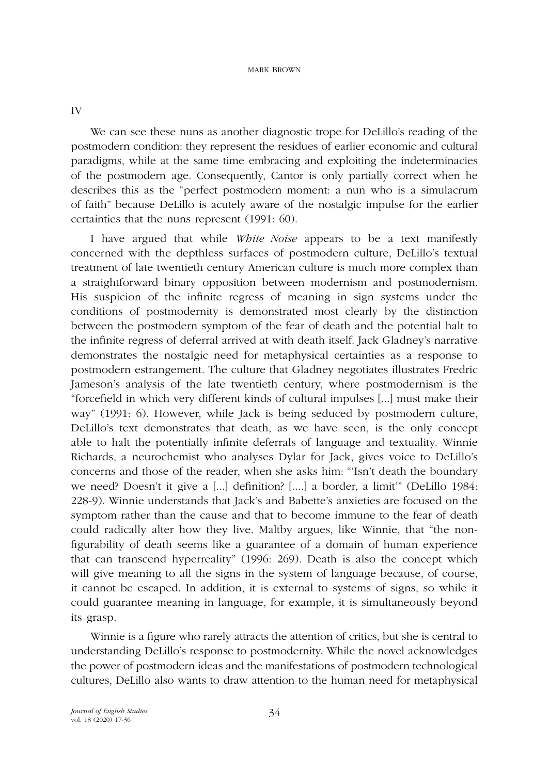IV

We can see these nuns as another diagnostic trope for DeLillo's reading of the postmodern condition: they represent the residues of earlier economic and cultural paradigms, while at the same time embracing and exploiting the indeterminacies of the postmodern age. Consequently, Cantor is only partially correct when he describes this as the "perfect postmodern moment: a nun who is a simulacrum of faith" because DeLillo is acutely aware of the nostalgic impulse for the earlier certainties that the nuns represent (1991: 60).

I have argued that while *White Noise* appears to be a text manifestly concerned with the depthless surfaces of postmodern culture, DeLillo's textual treatment of late twentieth century American culture is much more complex than a straightforward binary opposition between modernism and postmodernism. His suspicion of the infinite regress of meaning in sign systems under the conditions of postmodernity is demonstrated most clearly by the distinction between the postmodern symptom of the fear of death and the potential halt to the infinite regress of deferral arrived at with death itself. Jack Gladney's narrative demonstrates the nostalgic need for metaphysical certainties as a response to postmodern estrangement. The culture that Gladney negotiates illustrates Fredric Jameson's analysis of the late twentieth century, where postmodernism is the "forcefield in which very different kinds of cultural impulses [...] must make their way" (1991: 6). However, while Jack is being seduced by postmodern culture, DeLillo's text demonstrates that death, as we have seen, is the only concept able to halt the potentially infinite deferrals of language and textuality. Winnie Richards, a neurochemist who analyses Dylar for Jack, gives voice to DeLillo's concerns and those of the reader, when she asks him: "'Isn't death the boundary we need? Doesn't it give a [...] definition? [....] a border, a limit'" (DeLillo 1984: 228-9). Winnie understands that Jack's and Babette's anxieties are focused on the symptom rather than the cause and that to become immune to the fear of death could radically alter how they live. Maltby argues, like Winnie, that "the nonfigurability of death seems like a guarantee of a domain of human experience that can transcend hyperreality" (1996: 269). Death is also the concept which will give meaning to all the signs in the system of language because, of course, it cannot be escaped. In addition, it is external to systems of signs, so while it could guarantee meaning in language, for example, it is simultaneously beyond its grasp.

Winnie is a figure who rarely attracts the attention of critics, but she is central to understanding DeLillo's response to postmodernity. While the novel acknowledges the power of postmodern ideas and the manifestations of postmodern technological cultures, DeLillo also wants to draw attention to the human need for metaphysical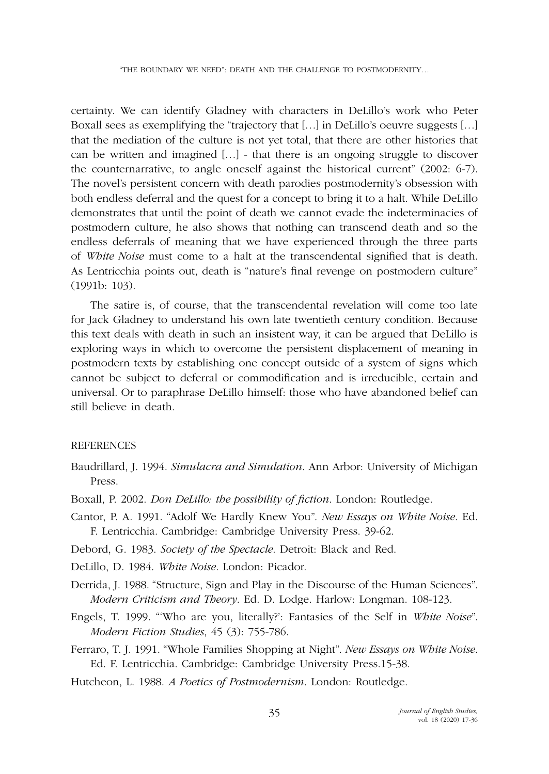certainty. We can identify Gladney with characters in DeLillo's work who Peter Boxall sees as exemplifying the "trajectory that […] in DeLillo's oeuvre suggests […] that the mediation of the culture is not yet total, that there are other histories that can be written and imagined […] - that there is an ongoing struggle to discover the counternarrative, to angle oneself against the historical current" (2002: 6-7). The novel's persistent concern with death parodies postmodernity's obsession with both endless deferral and the quest for a concept to bring it to a halt. While DeLillo demonstrates that until the point of death we cannot evade the indeterminacies of postmodern culture, he also shows that nothing can transcend death and so the endless deferrals of meaning that we have experienced through the three parts of *White Noise* must come to a halt at the transcendental signified that is death. As Lentricchia points out, death is "nature's final revenge on postmodern culture" (1991b: 103).

The satire is, of course, that the transcendental revelation will come too late for Jack Gladney to understand his own late twentieth century condition. Because this text deals with death in such an insistent way, it can be argued that DeLillo is exploring ways in which to overcome the persistent displacement of meaning in postmodern texts by establishing one concept outside of a system of signs which cannot be subject to deferral or commodification and is irreducible, certain and universal. Or to paraphrase DeLillo himself: those who have abandoned belief can still believe in death.

## **REFERENCES**

- Baudrillard, J. 1994. *Simulacra and Simulation*. Ann Arbor: University of Michigan Press.
- Boxall, P. 2002. *Don DeLillo: the possibility of fiction*. London: Routledge.
- Cantor, P. A. 1991. "Adolf We Hardly Knew You". *New Essays on White Noise*. Ed. F. Lentricchia. Cambridge: Cambridge University Press. 39-62.
- Debord, G. 1983. *Society of the Spectacle*. Detroit: Black and Red.
- DeLillo, D. 1984. *White Noise*. London: Picador.
- Derrida, J. 1988. "Structure, Sign and Play in the Discourse of the Human Sciences". *Modern Criticism and Theory*. Ed. D. Lodge. Harlow: Longman. 108-123.
- Engels, T. 1999. "'Who are you, literally?': Fantasies of the Self in *White Noise*". *Modern Fiction Studies*, 45 (3): 755-786.
- Ferraro, T. J. 1991. "Whole Families Shopping at Night". *New Essays on White Noise*. Ed. F. Lentricchia. Cambridge: Cambridge University Press.15-38.
- Hutcheon, L. 1988. *A Poetics of Postmodernism*. London: Routledge.